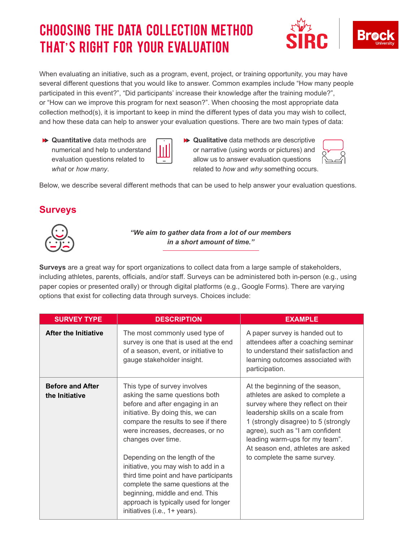# Choosing the Data Collection Method That's Right for Your Evaluation





When evaluating an initiative, such as a program, event, project, or training opportunity, you may have several different questions that you would like to answer. Common examples include "How many people participated in this event?", "Did participants' increase their knowledge after the training module?", or "How can we improve this program for next season?". When choosing the most appropriate data collection method(s), it is important to keep in mind the different types of data you may wish to collect, and how these data can help to answer your evaluation questions. There are two main types of data:

- **Quantitative** data methods are numerical and help to understand evaluation questions related to *what* or *how many*.
- - **Qualitative** data methods are descriptive or narrative (using words or pictures) and allow us to answer evaluation questions related to *how* and *why* something occurs.



Below, we describe several different methods that can be used to help answer your evaluation questions.

#### **Surveys**



*"We aim to gather data from a lot of our members in a short amount of time."*

**Surveys** are a great way for sport organizations to collect data from a large sample of stakeholders, including athletes, parents, officials, and/or staff. Surveys can be administered both in-person (e.g., using paper copies or presented orally) or through digital platforms (e.g., Google Forms). There are varying options that exist for collecting data through surveys. Choices include:

| <b>SURVEY TYPE</b>                        | <b>DESCRIPTION</b>                                                                                                                                                                                                                                                                                                                                                                                                                                                                                             | <b>EXAMPLE</b>                                                                                                                                                                                                                                                                                                                   |
|-------------------------------------------|----------------------------------------------------------------------------------------------------------------------------------------------------------------------------------------------------------------------------------------------------------------------------------------------------------------------------------------------------------------------------------------------------------------------------------------------------------------------------------------------------------------|----------------------------------------------------------------------------------------------------------------------------------------------------------------------------------------------------------------------------------------------------------------------------------------------------------------------------------|
| <b>After the Initiative</b>               | The most commonly used type of<br>survey is one that is used at the end<br>of a season, event, or initiative to<br>gauge stakeholder insight.                                                                                                                                                                                                                                                                                                                                                                  | A paper survey is handed out to<br>attendees after a coaching seminar<br>to understand their satisfaction and<br>learning outcomes associated with<br>participation.                                                                                                                                                             |
| <b>Before and After</b><br>the Initiative | This type of survey involves<br>asking the same questions both<br>before and after engaging in an<br>initiative. By doing this, we can<br>compare the results to see if there<br>were increases, decreases, or no<br>changes over time.<br>Depending on the length of the<br>initiative, you may wish to add in a<br>third time point and have participants<br>complete the same questions at the<br>beginning, middle and end. This<br>approach is typically used for longer<br>initiatives (i.e., 1+ years). | At the beginning of the season,<br>athletes are asked to complete a<br>survey where they reflect on their<br>leadership skills on a scale from<br>1 (strongly disagree) to 5 (strongly<br>agree), such as "I am confident<br>leading warm-ups for my team".<br>At season end, athletes are asked<br>to complete the same survey. |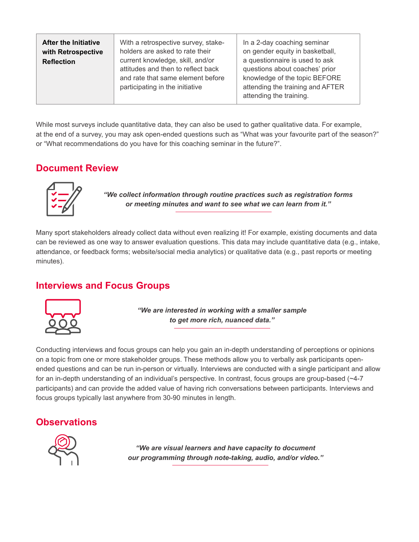| <b>After the Initiative</b><br>with Retrospective<br><b>Reflection</b> | With a retrospective survey, stake-<br>holders are asked to rate their<br>current knowledge, skill, and/or<br>attitudes and then to reflect back<br>and rate that same element before<br>participating in the initiative | In a 2-day coaching seminar<br>on gender equity in basketball,<br>a questionnaire is used to ask<br>questions about coaches' prior<br>knowledge of the topic BEFORE<br>attending the training and AFTER<br>attending the training. |
|------------------------------------------------------------------------|--------------------------------------------------------------------------------------------------------------------------------------------------------------------------------------------------------------------------|------------------------------------------------------------------------------------------------------------------------------------------------------------------------------------------------------------------------------------|
|------------------------------------------------------------------------|--------------------------------------------------------------------------------------------------------------------------------------------------------------------------------------------------------------------------|------------------------------------------------------------------------------------------------------------------------------------------------------------------------------------------------------------------------------------|

While most surveys include quantitative data, they can also be used to gather qualitative data. For example, at the end of a survey, you may ask open-ended questions such as "What was your favourite part of the season?" or "What recommendations do you have for this coaching seminar in the future?".

# **Document Review**



*"We collect information through routine practices such as registration forms or meeting minutes and want to see what we can learn from it."*

Many sport stakeholders already collect data without even realizing it! For example, existing documents and data can be reviewed as one way to answer evaluation questions. This data may include quantitative data (e.g., intake, attendance, or feedback forms; website/social media analytics) or qualitative data (e.g., past reports or meeting minutes).

# **Interviews and Focus Groups**



*"We are interested in working with a smaller sample to get more rich, nuanced data."*

Conducting interviews and focus groups can help you gain an in-depth understanding of perceptions or opinions on a topic from one or more stakeholder groups. These methods allow you to verbally ask participants openended questions and can be run in-person or virtually. Interviews are conducted with a single participant and allow for an in-depth understanding of an individual's perspective. In contrast, focus groups are group-based (~4-7 participants) and can provide the added value of having rich conversations between participants. Interviews and focus groups typically last anywhere from 30-90 minutes in length.

#### **Observations**



*"We are visual learners and have capacity to document our programming through note-taking, audio, and/or video."*